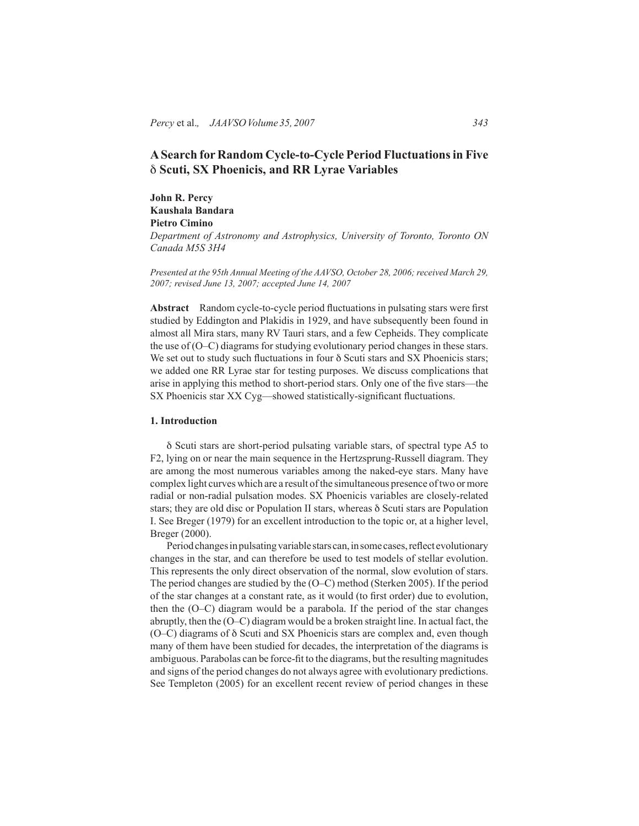# **A Search for Random Cycle-to-Cycle Period Fluctuations in Five**  δ **Scuti, SX Phoenicis, and RR Lyrae Variables**

**John R. Percy Kaushala Bandara Pietro Cimino**

*Department of Astronomy and Astrophysics, University of Toronto, Toronto ON Canada M5S 3H4*

*Presented at the 95th Annual Meeting of the AAVSO, October 28, 2006; received March 29, 2007; revised June 13, 2007; accepted June 14, 2007*

**Abstract** Random cycle-to-cycle period fluctuations in pulsating stars were first studied by Eddington and Plakidis in 1929, and have subsequently been found in almost all Mira stars, many RV Tauri stars, and a few Cepheids. They complicate the use of (O–C) diagrams for studying evolutionary period changes in these stars. We set out to study such fluctuations in four δ Scuti stars and SX Phoenicis stars; we added one RR Lyrae star for testing purposes. We discuss complications that arise in applying this method to short-period stars. Only one of the five stars—the SX Phoenicis star XX Cyg—showed statistically-significant fluctuations.

#### **1. Introduction**

δ Scuti stars are short-period pulsating variable stars, of spectral type A5 to F2, lying on or near the main sequence in the Hertzsprung-Russell diagram. They are among the most numerous variables among the naked-eye stars. Many have complex light curves which are a result of the simultaneous presence of two or more radial or non-radial pulsation modes. SX Phoenicis variables are closely-related stars; they are old disc or Population II stars, whereas δ Scuti stars are Population I. See Breger (1979) for an excellent introduction to the topic or, at a higher level, Breger (2000).

Period changes in pulsating variable stars can, in some cases, reflect evolutionary changes in the star, and can therefore be used to test models of stellar evolution. This represents the only direct observation of the normal, slow evolution of stars. The period changes are studied by the (O–C) method (Sterken 2005). If the period of the star changes at a constant rate, as it would (to first order) due to evolution, then the (O–C) diagram would be a parabola. If the period of the star changes abruptly, then the (O–C) diagram would be a broken straight line. In actual fact, the (O–C) diagrams of δ Scuti and SX Phoenicis stars are complex and, even though many of them have been studied for decades, the interpretation of the diagrams is ambiguous. Parabolas can be force-fit to the diagrams, but the resulting magnitudes and signs of the period changes do not always agree with evolutionary predictions. See Templeton (2005) for an excellent recent review of period changes in these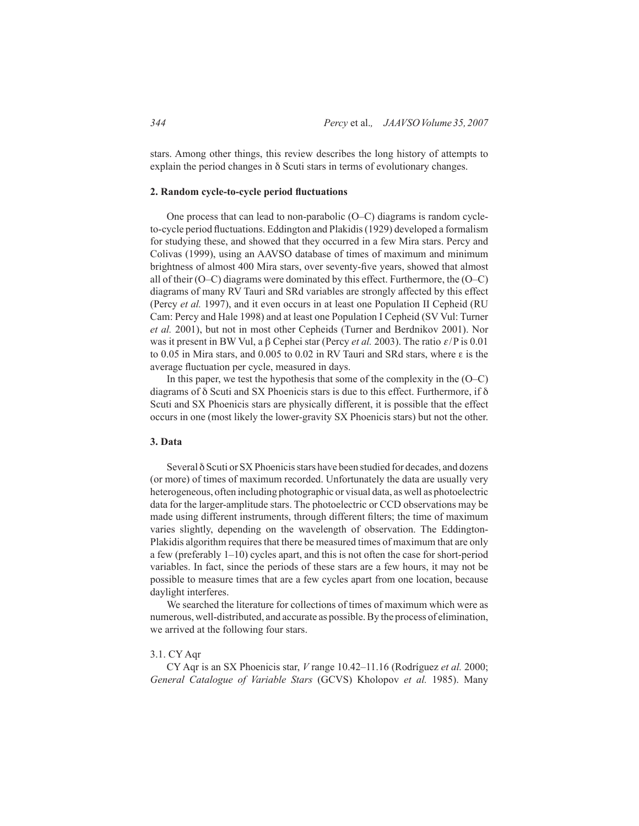stars. Among other things, this review describes the long history of attempts to explain the period changes in δ Scuti stars in terms of evolutionary changes.

#### **2. Random cycle-to-cycle period fluctuations**

One process that can lead to non-parabolic (O–C) diagrams is random cycleto-cycle period fluctuations. Eddington and Plakidis (1929) developed a formalism for studying these, and showed that they occurred in a few Mira stars. Percy and Colivas (1999), using an AAVSO database of times of maximum and minimum brightness of almost 400 Mira stars, over seventy-five years, showed that almost all of their (O–C) diagrams were dominated by this effect. Furthermore, the (O–C) diagrams of many RV Tauri and SRd variables are strongly affected by this effect (Percy *et al.* 1997), and it even occurs in at least one Population II Cepheid (RU Cam: Percy and Hale 1998) and at least one Population I Cepheid (SV Vul: Turner *et al.* 2001), but not in most other Cepheids (Turner and Berdnikov 2001). Nor was it present in BW Vul, a  $\beta$  Cephei star (Percy *et al.* 2003). The ratio  $\varepsilon$ /P is 0.01 to 0.05 in Mira stars, and 0.005 to 0.02 in RV Tauri and SRd stars, where ε is the average fluctuation per cycle, measured in days.

In this paper, we test the hypothesis that some of the complexity in the  $(O-C)$ diagrams of  $\delta$  Scuti and SX Phoenicis stars is due to this effect. Furthermore, if  $\delta$ Scuti and SX Phoenicis stars are physically different, it is possible that the effect occurs in one (most likely the lower-gravity SX Phoenicis stars) but not the other.

# **3. Data**

Several δ Scuti or SX Phoenicis stars have been studied for decades, and dozens (or more) of times of maximum recorded. Unfortunately the data are usually very heterogeneous, often including photographic or visual data, as well as photoelectric data for the larger-amplitude stars. The photoelectric or CCD observations may be made using different instruments, through different filters; the time of maximum varies slightly, depending on the wavelength of observation. The Eddington-Plakidis algorithm requires that there be measured times of maximum that are only a few (preferably 1–10) cycles apart, and this is not often the case for short-period variables. In fact, since the periods of these stars are a few hours, it may not be possible to measure times that are a few cycles apart from one location, because daylight interferes.

We searched the literature for collections of times of maximum which were as numerous, well-distributed, and accurate as possible. By the process of elimination, we arrived at the following four stars.

#### 3.1. CY Aqr

CY Aqr is an SX Phoenicis star, *V* range 10.42–11.16 (Rodríguez *et al.* 2000; *General Catalogue of Variable Stars* (GCVS) Kholopov *et al.* 1985). Many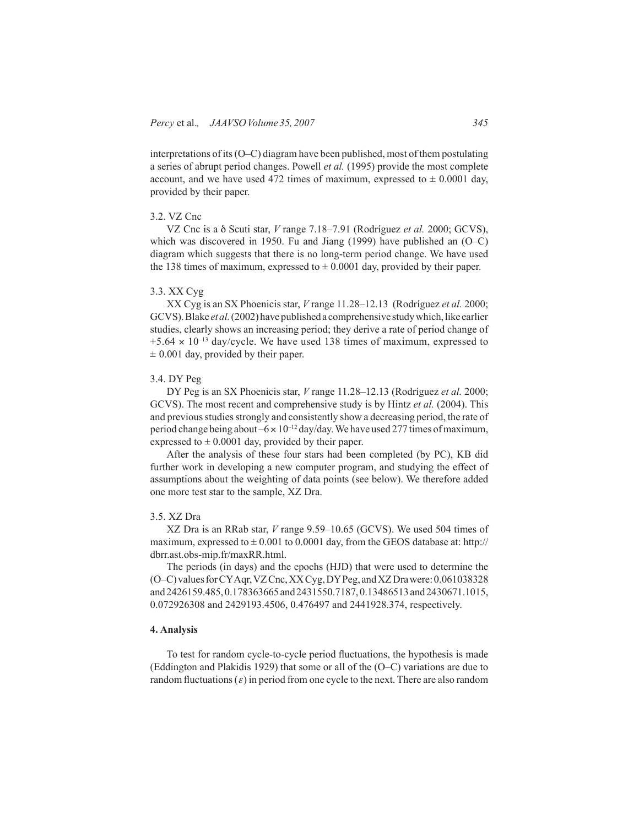interpretations of its (O–C) diagram have been published, most of them postulating a series of abrupt period changes. Powell *et al.* (1995) provide the most complete account, and we have used 472 times of maximum, expressed to  $\pm$  0.0001 day, provided by their paper.

# 3.2. VZ Cnc

VZ Cnc is a δ Scuti star, *V* range 7.18–7.91 (Rodríguez *et al.* 2000; GCVS), which was discovered in 1950. Fu and Jiang (1999) have published an (O–C) diagram which suggests that there is no long-term period change. We have used the 138 times of maximum, expressed to  $\pm$  0.0001 day, provided by their paper.

### 3.3. XX Cyg

XX Cyg is an SX Phoenicis star, *V* range 11.28–12.13 (Rodríguez *et al.* 2000; GCVS). Blake *et al.* (2002) have published a comprehensive study which, like earlier studies, clearly shows an increasing period; they derive a rate of period change of  $+5.64 \times 10^{-13}$  day/cycle. We have used 138 times of maximum, expressed to  $\pm$  0.001 day, provided by their paper.

#### 3.4. DY Peg

DY Peg is an SX Phoenicis star, *V* range 11.28–12.13 (Rodríguez *et al.* 2000; GCVS). The most recent and comprehensive study is by Hintz *et al.* (2004). This and previous studies strongly and consistently show a decreasing period, the rate of period change being about  $-6 \times 10^{-12}$  day/day. We have used 277 times of maximum, expressed to  $\pm$  0.0001 day, provided by their paper.

After the analysis of these four stars had been completed (by PC), KB did further work in developing a new computer program, and studying the effect of assumptions about the weighting of data points (see below). We therefore added one more test star to the sample, XZ Dra.

### 3.5. XZ Dra

XZ Dra is an RRab star, *V* range 9.59–10.65 (GCVS). We used 504 times of maximum, expressed to  $\pm$  0.001 to 0.0001 day, from the GEOS database at: http:// dbrr.ast.obs-mip.fr/maxRR.html.

The periods (in days) and the epochs (HJD) that were used to determine the (O–C) values for CY Aqr, VZ Cnc, XX Cyg, DY Peg, and XZ Dra were: 0.061038328 and 2426159.485, 0.178363665 and 2431550.7187, 0.13486513 and 2430671.1015, 0.072926308 and 2429193.4506, 0.476497 and 2441928.374, respectively.

# **4. Analysis**

To test for random cycle-to-cycle period fluctuations, the hypothesis is made (Eddington and Plakidis 1929) that some or all of the (O–C) variations are due to random fluctuations  $(\varepsilon)$  in period from one cycle to the next. There are also random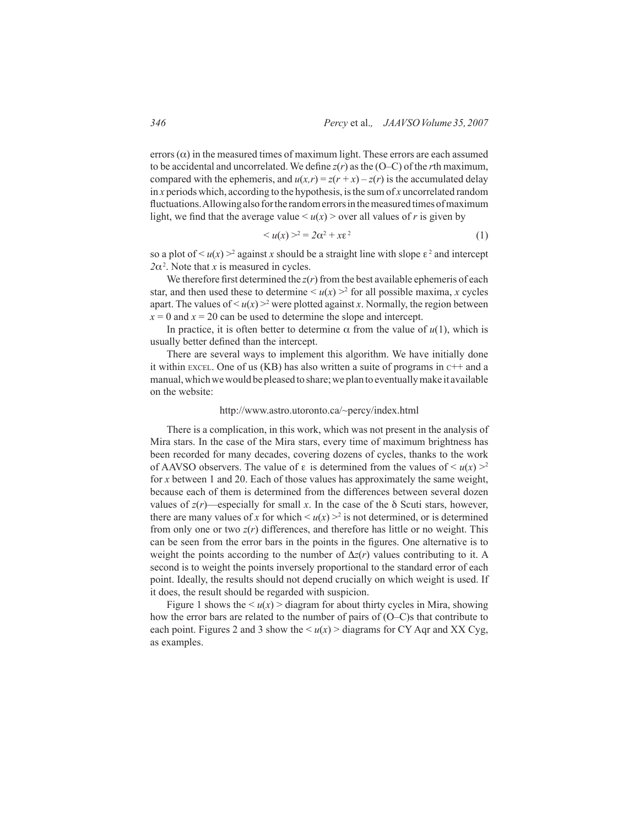errors ( $\alpha$ ) in the measured times of maximum light. These errors are each assumed to be accidental and uncorrelated. We define  $z(r)$  as the (O–C) of the *r*th maximum, compared with the ephemeris, and  $u(x,r) = z(r+x) - z(r)$  is the accumulated delay in *x* periods which, according to the hypothesis, is the sum of *x* uncorrelated random fluctuations. Allowing also for the random errors in the measured times of maximum light, we find that the average value  $\lt u(x)$  > over all values of *r* is given by

$$
\langle u(x) \rangle^2 = 2\alpha^2 + x\epsilon^2 \tag{1}
$$

so a plot of  $\leq u(x) >^2$  against *x* should be a straight line with slope  $\varepsilon^2$  and intercept  $2\alpha^2$ . Note that *x* is measured in cycles.

We therefore first determined the  $z(r)$  from the best available ephemeris of each star, and then used these to determine  $\langle u(x) \rangle^2$  for all possible maxima, *x* cycles apart. The values of  $\leq u(x) >^2$  were plotted against *x*. Normally, the region between  $x = 0$  and  $x = 20$  can be used to determine the slope and intercept.

In practice, it is often better to determine  $\alpha$  from the value of  $u(1)$ , which is usually better defined than the intercept.

There are several ways to implement this algorithm. We have initially done it within EXCEL. One of us (KB) has also written a suite of programs in  $c++$  and a manual, which we would be pleased to share; we plan to eventually make it available on the website:

### http://www.astro.utoronto.ca/~percy/index.html

There is a complication, in this work, which was not present in the analysis of Mira stars. In the case of the Mira stars, every time of maximum brightness has been recorded for many decades, covering dozens of cycles, thanks to the work of AAVSO observers. The value of  $\varepsilon$  is determined from the values of  $\leq u(x) \geq 2$ for *x* between 1 and 20. Each of those values has approximately the same weight, because each of them is determined from the differences between several dozen values of  $z(r)$ —especially for small *x*. In the case of the  $\delta$  Scuti stars, however, there are many values of x for which  $\leq u(x) > 2$  is not determined, or is determined from only one or two  $z(r)$  differences, and therefore has little or no weight. This can be seen from the error bars in the points in the figures. One alternative is to weight the points according to the number of  $\Delta z(r)$  values contributing to it. A second is to weight the points inversely proportional to the standard error of each point. Ideally, the results should not depend crucially on which weight is used. If it does, the result should be regarded with suspicion.

Figure 1 shows the  $\langle u(x) \rangle$  diagram for about thirty cycles in Mira, showing how the error bars are related to the number of pairs of (O–C)s that contribute to each point. Figures 2 and 3 show the  $\langle u(x) \rangle$  diagrams for CY Aqr and XX Cyg, as examples.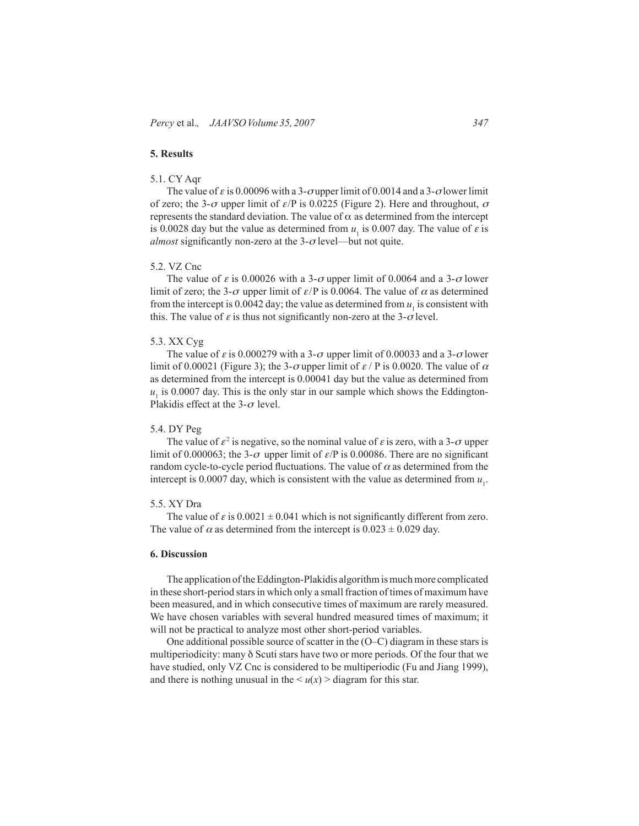# **5. Results**

# 5.1. CY Aqr

The value of  $\varepsilon$  is 0.00096 with a 3- $\sigma$ upper limit of 0.0014 and a 3- $\sigma$ lower limit of zero; the 3- $\sigma$  upper limit of  $\varepsilon$ /P is 0.0225 (Figure 2). Here and throughout,  $\sigma$ represents the standard deviation. The value of α as determined from the intercept is 0.0028 day but the value as determined from  $u_1$  is 0.007 day. The value of  $\varepsilon$  is *almost* significantly non-zero at the  $3-\sigma$  level—but not quite.

#### 5.2. VZ Cnc

The value of  $\varepsilon$  is 0.00026 with a 3- $\sigma$  upper limit of 0.0064 and a 3- $\sigma$  lower limit of zero; the 3- $\sigma$  upper limit of  $\varepsilon$ /P is 0.0064. The value of  $\alpha$  as determined from the intercept is 0.0042 day; the value as determined from  $u_1$  is consistent with this. The value of  $\varepsilon$  is thus not significantly non-zero at the 3- $\sigma$  level.

### 5.3. XX Cyg

The value of  $\varepsilon$  is 0.000279 with a 3- $\sigma$  upper limit of 0.00033 and a 3- $\sigma$  lower limit of 0.00021 (Figure 3); the 3- $\sigma$  upper limit of  $\varepsilon$  / P is 0.0020. The value of  $\alpha$ as determined from the intercept is 0.00041 day but the value as determined from  $u<sub>1</sub>$  is 0.0007 day. This is the only star in our sample which shows the Eddington-Plakidis effect at the  $3-\sigma$  level.

# 5.4. DY Peg

The value of  $\varepsilon^2$  is negative, so the nominal value of  $\varepsilon$  is zero, with a 3- $\sigma$  upper limit of 0.000063; the 3- $\sigma$  upper limit of  $\varepsilon$ /P is 0.00086. There are no significant random cycle-to-cycle period fluctuations. The value of  $\alpha$  as determined from the intercept is 0.0007 day, which is consistent with the value as determined from  $u_1$ .

# 5.5. XY Dra

The value of  $\varepsilon$  is  $0.0021 \pm 0.041$  which is not significantly different from zero. The value of  $\alpha$  as determined from the intercept is  $0.023 \pm 0.029$  day.

# **6. Discussion**

The application of the Eddington-Plakidis algorithm is much more complicated in these short-period stars in which only a small fraction of times of maximum have been measured, and in which consecutive times of maximum are rarely measured. We have chosen variables with several hundred measured times of maximum; it will not be practical to analyze most other short-period variables.

One additional possible source of scatter in the (O–C) diagram in these stars is multiperiodicity: many δ Scuti stars have two or more periods. Of the four that we have studied, only VZ Cnc is considered to be multiperiodic (Fu and Jiang 1999), and there is nothing unusual in the  $\langle u(x) \rangle$  diagram for this star.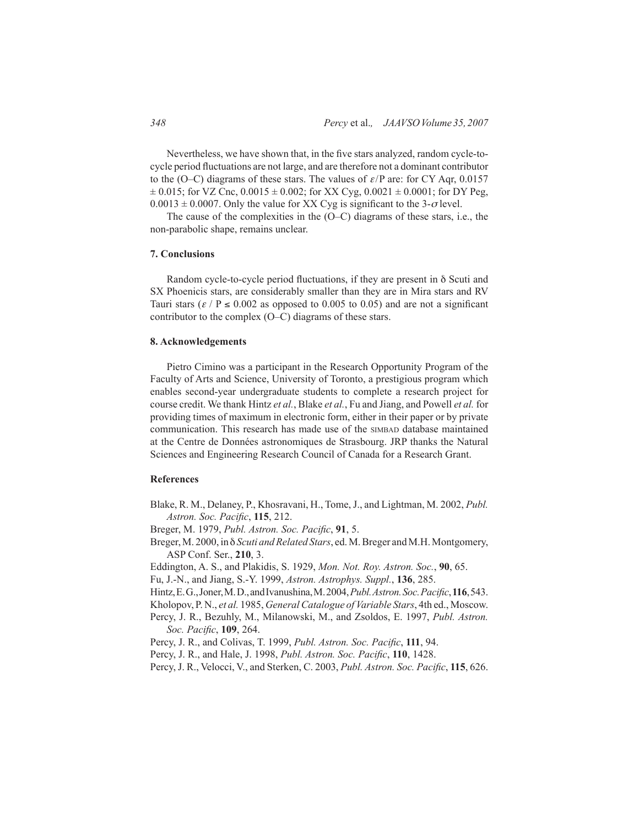Nevertheless, we have shown that, in the five stars analyzed, random cycle-tocycle period fluctuations are not large, and are therefore not a dominant contributor to the (O–C) diagrams of these stars. The values of  $\varepsilon$ /P are: for CY Aqr, 0.0157  $\pm$  0.015; for VZ Cnc, 0.0015  $\pm$  0.002; for XX Cyg, 0.0021  $\pm$  0.0001; for DY Peg,  $0.0013 \pm 0.0007$ . Only the value for XX Cyg is significant to the 3- $\sigma$  level.

The cause of the complexities in the (O–C) diagrams of these stars, i.e., the non-parabolic shape, remains unclear.

### **7. Conclusions**

Random cycle-to-cycle period fluctuations, if they are present in δ Scuti and SX Phoenicis stars, are considerably smaller than they are in Mira stars and RV Tauri stars ( $\varepsilon$  / P  $\leq$  0.002 as opposed to 0.005 to 0.05) and are not a significant contributor to the complex (O–C) diagrams of these stars.

### **8. Acknowledgements**

Pietro Cimino was a participant in the Research Opportunity Program of the Faculty of Arts and Science, University of Toronto, a prestigious program which enables second-year undergraduate students to complete a research project for course credit. We thank Hintz *et al.*, Blake *et al.*, Fu and Jiang, and Powell *et al.* for providing times of maximum in electronic form, either in their paper or by private communication. This research has made use of the simbal database maintained at the Centre de Données astronomiques de Strasbourg. JRP thanks the Natural Sciences and Engineering Research Council of Canada for a Research Grant.

# **References**

- Blake, R. M., Delaney, P., Khosravani, H., Tome, J., and Lightman, M. 2002, *Publ. Astron. Soc. Pacific*, **115**, 212.
- Breger, M. 1979, *Publ. Astron. Soc. Pacific*, **91**, 5.
- Breger, M. 2000, in δ *Scuti and Related Stars*, ed. M. Breger and M.H. Montgomery, ASP Conf. Ser., **210**, 3.
- Eddington, A. S., and Plakidis, S. 1929, *Mon. Not. Roy. Astron. Soc.*, **90**, 65.
- Fu, J.-N., and Jiang, S.-Y. 1999, *Astron. Astrophys. Suppl.*, **136**, 285.
- Hintz, E. G., Joner, M. D., and Ivanushina, M. 2004, *Publ. Astron. Soc. Pacific*, **116**, 543.
- Kholopov, P. N., *et al.* 1985, *General Catalogue of Variable Stars*, 4th ed., Moscow.
- Percy, J. R., Bezuhly, M., Milanowski, M., and Zsoldos, E. 1997, *Publ. Astron. Soc. Pacific*, **109**, 264.
- Percy, J. R., and Colivas, T. 1999, *Publ. Astron. Soc. Pacific*, **111**, 94.
- Percy, J. R., and Hale, J. 1998, *Publ. Astron. Soc. Pacific*, **110**, 1428.
- Percy, J. R., Velocci, V., and Sterken, C. 2003, *Publ. Astron. Soc. Pacific*, **115**, 626.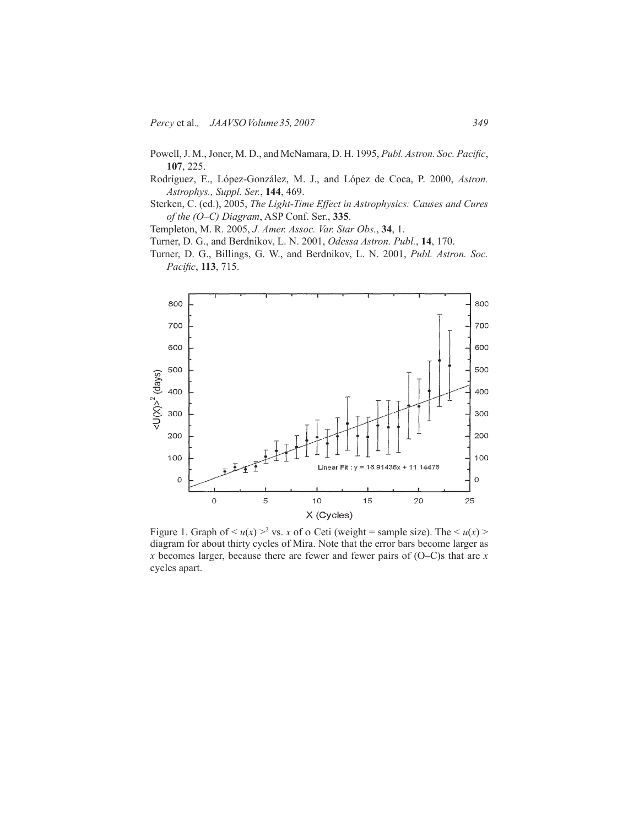- Powell, J. M., Joner, M. D., and McNamara, D. H. 1995, *Publ. Astron. Soc. Pacific*, **107**, 225.
- Rodríguez, E., López-González, M. J., and López de Coca, P. 2000, *Astron. Astrophys., Suppl. Ser.*, **144**, 469.
- Sterken, C. (ed.), 2005, *The Light-Time Effect in Astrophysics: Causes and Cures of the (O–C) Diagram*, ASP Conf. Ser., **335**.

Templeton, M. R. 2005, *J. Amer. Assoc. Var. Star Obs.*, **34**, 1.

- Turner, D. G., and Berdnikov, L. N. 2001, *Odessa Astron. Publ.*, **14**, 170.
- Turner, D. G., Billings, G. W., and Berdnikov, L. N. 2001, *Publ. Astron. Soc. Pacific*, **113**, 715.



Figure 1. Graph of  $\leq u(x) >^2$  vs. *x* of o Ceti (weight = sample size). The  $\leq u(x) >$ diagram for about thirty cycles of Mira. Note that the error bars become larger as *x* becomes larger, because there are fewer and fewer pairs of (O–C)s that are *x* cycles apart.